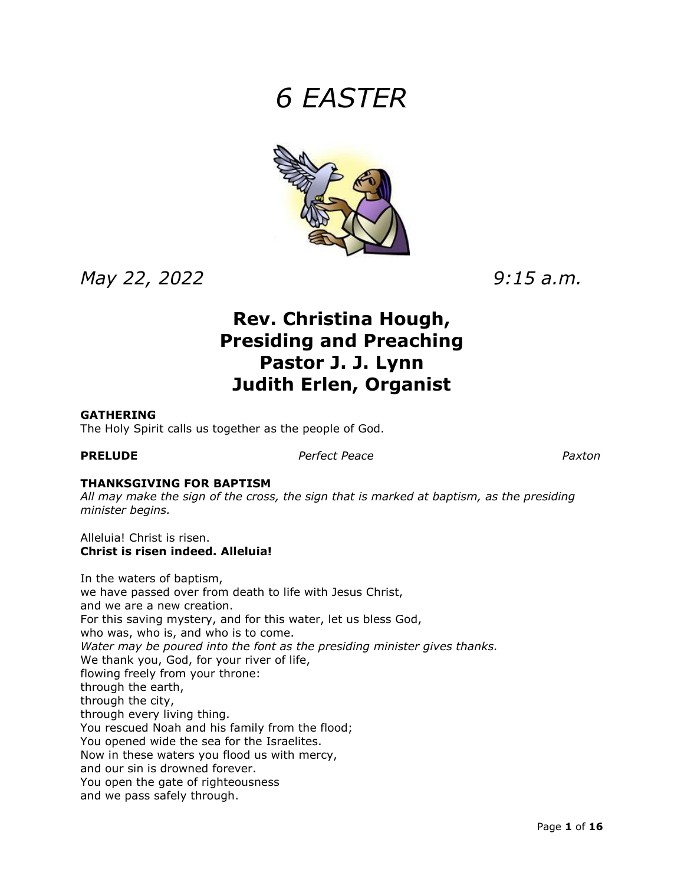# *6 EASTER*



*May 22, 2022 9:15 a.m.*

## **Rev. Christina Hough, Presiding and Preaching Pastor J. J. Lynn Judith Erlen, Organist**

#### **GATHERING**

The Holy Spirit calls us together as the people of God.

**PRELUDE** *Perfect Peace Paxton*

### **THANKSGIVING FOR BAPTISM**

*All may make the sign of the cross, the sign that is marked at baptism, as the presiding minister begins.*

Alleluia! Christ is risen. **Christ is risen indeed. Alleluia!**

In the waters of baptism, we have passed over from death to life with Jesus Christ, and we are a new creation. For this saving mystery, and for this water, let us bless God, who was, who is, and who is to come. *Water may be poured into the font as the presiding minister gives thanks.* We thank you, God, for your river of life, flowing freely from your throne: through the earth, through the city, through every living thing. You rescued Noah and his family from the flood; You opened wide the sea for the Israelites. Now in these waters you flood us with mercy, and our sin is drowned forever. You open the gate of righteousness and we pass safely through.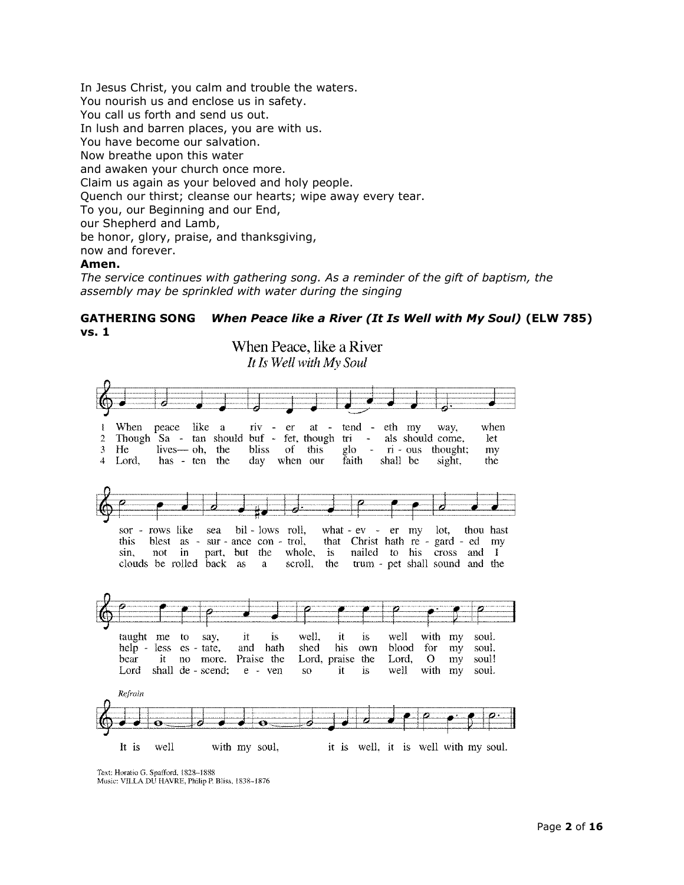In Jesus Christ, you calm and trouble the waters. You nourish us and enclose us in safety. You call us forth and send us out. In lush and barren places, you are with us. You have become our salvation. Now breathe upon this water and awaken your church once more. Claim us again as your beloved and holy people. Quench our thirst; cleanse our hearts; wipe away every tear. To you, our Beginning and our End, our Shepherd and Lamb, be honor, glory, praise, and thanksgiving, now and forever. **Amen.**

*The service continues with gathering song. As a reminder of the gift of baptism, the assembly may be sprinkled with water during the singing*

#### **GATHERING SONG** *When Peace like a River (It Is Well with My Soul)* **(ELW 785) vs. 1**



Text: Horatio G. Spafford, 1828-1888 Music: VILLA DU HAVRE, Philip P. Bliss, 1838-1876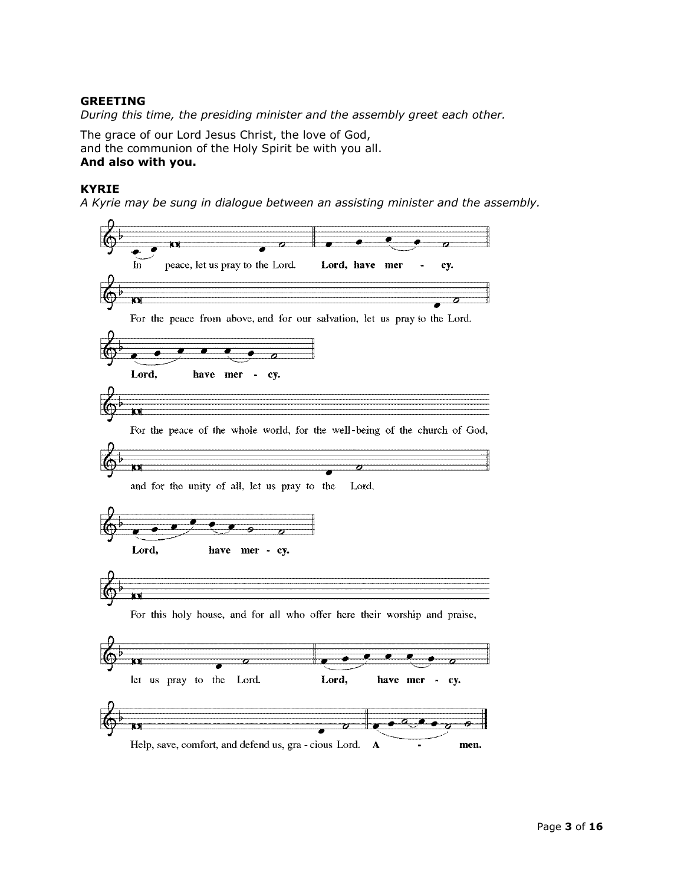#### **GREETING**

*During this time, the presiding minister and the assembly greet each other.*

The grace of our Lord Jesus Christ, the love of God, and the communion of the Holy Spirit be with you all. **And also with you.**

#### **KYRIE**

*A Kyrie may be sung in dialogue between an assisting minister and the assembly.*

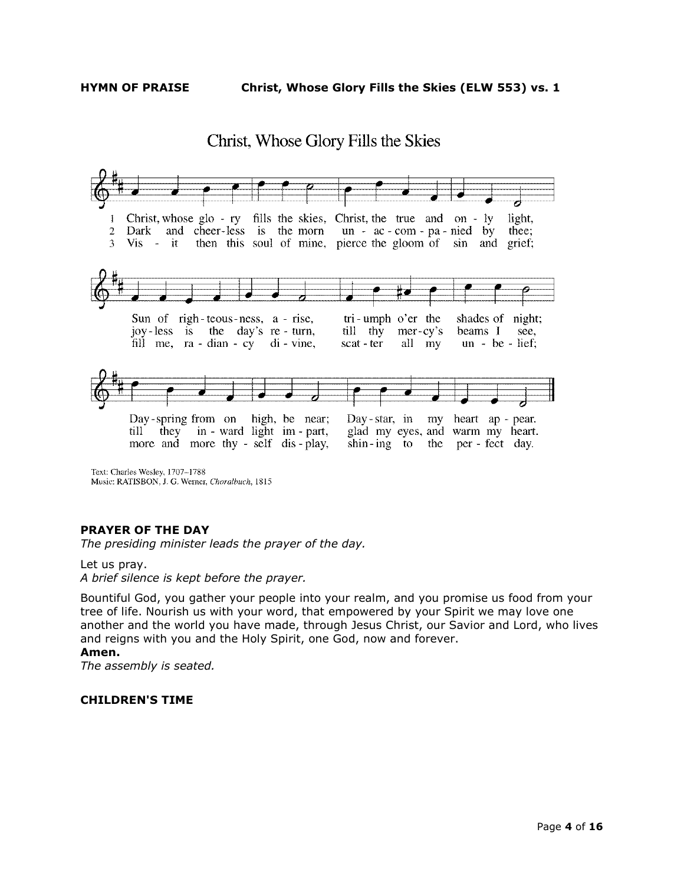### Christ, Whose Glory Fills the Skies



Music: RATISBON, J. G. Werner, Choralbuch, 1815

#### **PRAYER OF THE DAY**

*The presiding minister leads the prayer of the day.*

Let us pray. *A brief silence is kept before the prayer.*

Bountiful God, you gather your people into your realm, and you promise us food from your tree of life. Nourish us with your word, that empowered by your Spirit we may love one another and the world you have made, through Jesus Christ, our Savior and Lord, who lives and reigns with you and the Holy Spirit, one God, now and forever.

#### **Amen.**

*The assembly is seated.*

#### **CHILDREN'S TIME**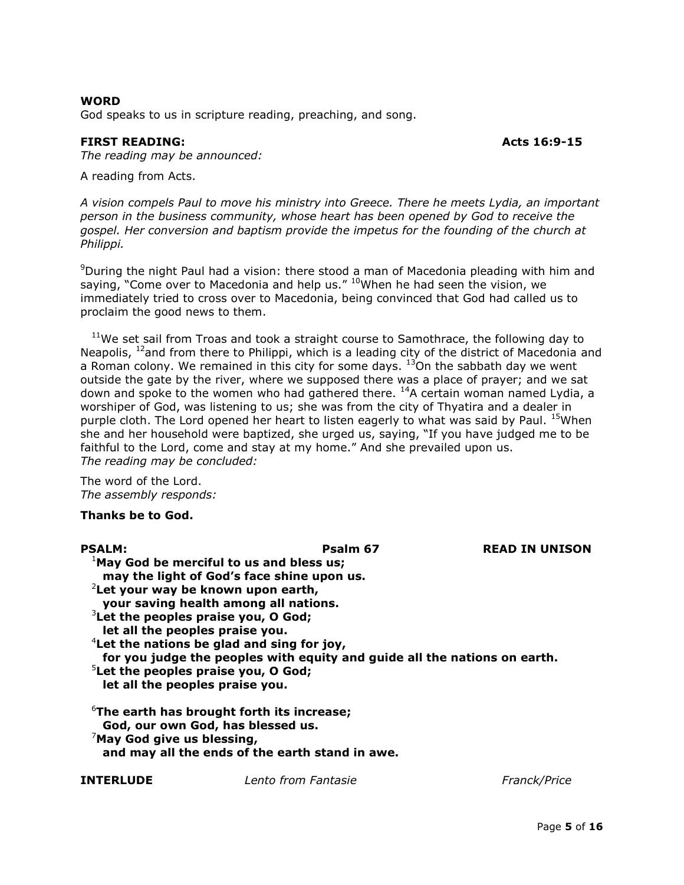#### **WORD**

God speaks to us in scripture reading, preaching, and song.

#### **FIRST READING:** Acts 16:9-15

*The reading may be announced:* 

A reading from Acts.

*A vision compels Paul to move his ministry into Greece. There he meets Lydia, an important person in the business community, whose heart has been opened by God to receive the gospel. Her conversion and baptism provide the impetus for the founding of the church at Philippi.*

 $9$ During the night Paul had a vision: there stood a man of Macedonia pleading with him and saying, "Come over to Macedonia and help us."  $10$ When he had seen the vision, we immediately tried to cross over to Macedonia, being convinced that God had called us to proclaim the good news to them.

 $11$ We set sail from Troas and took a straight course to Samothrace, the following day to Neapolis,  $^{12}$ and from there to Philippi, which is a leading city of the district of Macedonia and a Roman colony. We remained in this city for some days.  $13^{6}$ On the sabbath day we went outside the gate by the river, where we supposed there was a place of prayer; and we sat down and spoke to the women who had gathered there. <sup>14</sup>A certain woman named Lydia, a worshiper of God, was listening to us; she was from the city of Thyatira and a dealer in purple cloth. The Lord opened her heart to listen eagerly to what was said by Paul. <sup>15</sup>When she and her household were baptized, she urged us, saying, "If you have judged me to be faithful to the Lord, come and stay at my home." And she prevailed upon us. *The reading may be concluded:* 

The word of the Lord. *The assembly responds:* 

#### **Thanks be to God.**

| <b>PSALM:</b>                                                                                      | Psalm 67                                                                  | <b>READ IN UNISON</b> |
|----------------------------------------------------------------------------------------------------|---------------------------------------------------------------------------|-----------------------|
| <sup>1</sup> May God be merciful to us and bless us;<br>may the light of God's face shine upon us. |                                                                           |                       |
| <sup>2</sup> Let your way be known upon earth,<br>your saving health among all nations.            |                                                                           |                       |
| $3$ Let the peoples praise you, O God;<br>let all the peoples praise you.                          |                                                                           |                       |
| $4$ Let the nations be glad and sing for joy,                                                      | for you judge the peoples with equity and guide all the nations on earth. |                       |
| $5$ Let the peoples praise you, O God;<br>let all the peoples praise you.                          |                                                                           |                       |
| $6$ The earth has brought forth its increase;<br>God, our own God, has blessed us.                 |                                                                           |                       |
| $\sqrt{2}$ May God give us blessing,                                                               | and may all the ends of the earth stand in awe.                           |                       |
|                                                                                                    |                                                                           |                       |

**INTERLUDE** *Lento from Fantasie Franck/Price*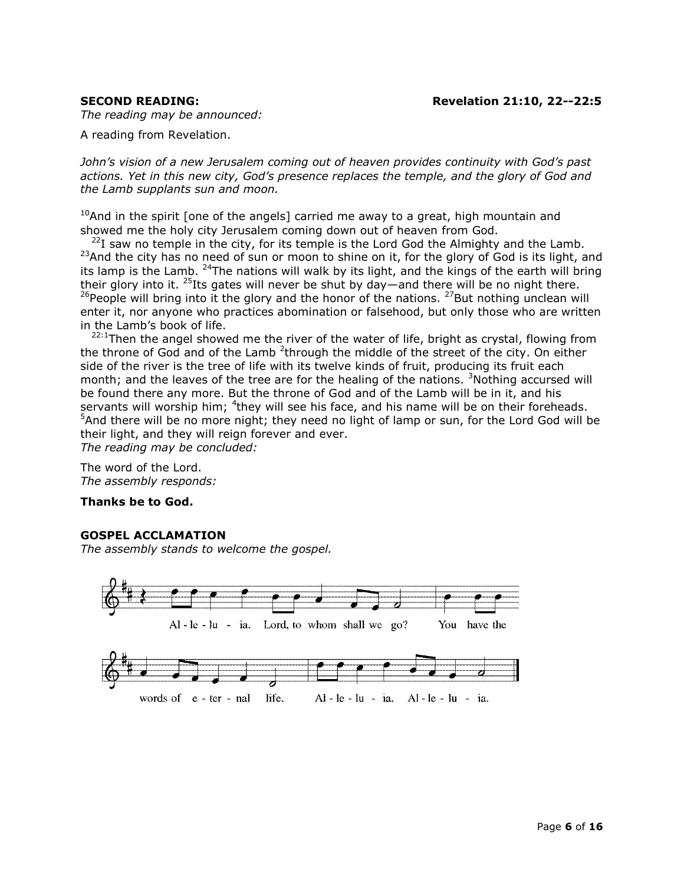*The reading may be announced:* 

A reading from Revelation.

*John's vision of a new Jerusalem coming out of heaven provides continuity with God's past actions. Yet in this new city, God's presence replaces the temple, and the glory of God and the Lamb supplants sun and moon.*

 $10$ And in the spirit [one of the angels] carried me away to a great, high mountain and showed me the holy city Jerusalem coming down out of heaven from God.

 $^{22}$ I saw no temple in the city, for its temple is the Lord God the Almighty and the Lamb. <sup>23</sup>And the city has no need of sun or moon to shine on it, for the glory of God is its light, and its lamp is the Lamb.  $24$ The nations will walk by its light, and the kings of the earth will bring their glory into it.  $25$ Its gates will never be shut by day—and there will be no night there.  $^{26}$ People will bring into it the glory and the honor of the nations.  $^{27}$ But nothing unclean will enter it, nor anyone who practices abomination or falsehood, but only those who are written in the Lamb's book of life.

 $22:1$ Then the angel showed me the river of the water of life, bright as crystal, flowing from the throne of God and of the Lamb  $2$ through the middle of the street of the city. On either side of the river is the tree of life with its twelve kinds of fruit, producing its fruit each month; and the leaves of the tree are for the healing of the nations. <sup>3</sup>Nothing accursed will be found there any more. But the throne of God and of the Lamb will be in it, and his servants will worship him; <sup>4</sup>they will see his face, and his name will be on their foreheads.  $5$ And there will be no more night; they need no light of lamp or sun, for the Lord God will be their light, and they will reign forever and ever. *The reading may be concluded:* 

The word of the Lord. *The assembly responds:* 

#### **Thanks be to God.**

#### **GOSPEL ACCLAMATION**

*The assembly stands to welcome the gospel.*

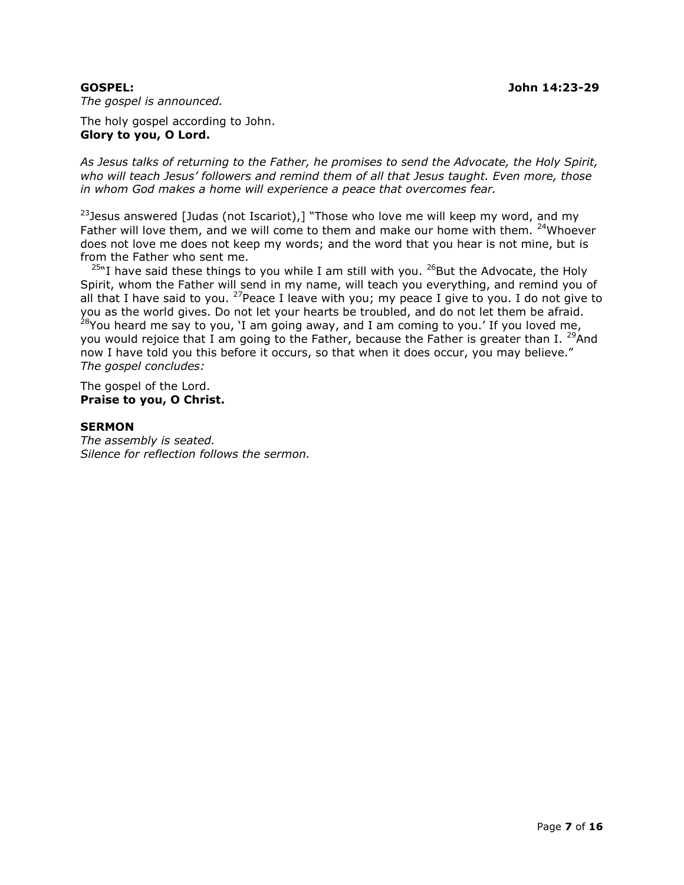*The gospel is announced.*

The holy gospel according to John. **Glory to you, O Lord.**

*As Jesus talks of returning to the Father, he promises to send the Advocate, the Holy Spirit, who will teach Jesus' followers and remind them of all that Jesus taught. Even more, those in whom God makes a home will experience a peace that overcomes fear.*

 $23$  Jesus answered [Judas (not Iscariot),] "Those who love me will keep my word, and my Father will love them, and we will come to them and make our home with them. <sup>24</sup>Whoever does not love me does not keep my words; and the word that you hear is not mine, but is from the Father who sent me.

 $25$ "I have said these things to you while I am still with you.  $26$  But the Advocate, the Holy Spirit, whom the Father will send in my name, will teach you everything, and remind you of all that I have said to you. <sup>27</sup> Peace I leave with you; my peace I give to you. I do not give to you as the world gives. Do not let your hearts be troubled, and do not let them be afraid.  $^{28}$ You heard me say to you, 'I am going away, and I am coming to you.' If you loved me, you would rejoice that I am going to the Father, because the Father is greater than I. <sup>29</sup>And now I have told you this before it occurs, so that when it does occur, you may believe." *The gospel concludes:*

The gospel of the Lord. **Praise to you, O Christ.**

#### **SERMON**

*The assembly is seated. Silence for reflection follows the sermon.*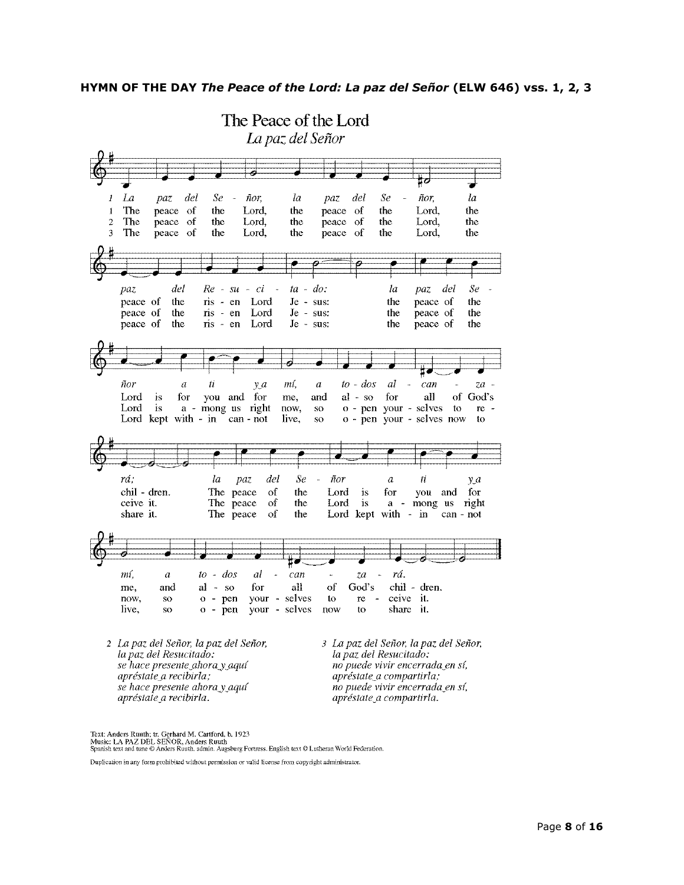

Text: Anders Ruuth; tr. Gerhard M. Cartford, b. 1923<br>Music: LA PAZ DEL SEÑOR, Anders Ruuth<br>Spanish text and tune © Anders Ruuth, admin. Augsburg Fortress. English text © Lutheran World Federation.

Duplication in any form prohibited without permission or valid license from copyright administrator.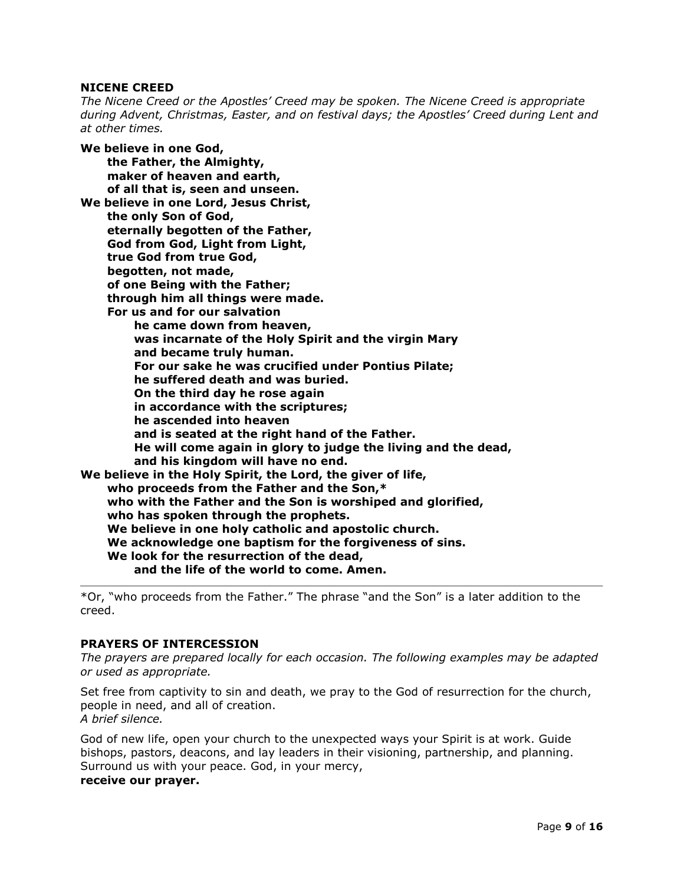#### **NICENE CREED**

*The Nicene Creed or the Apostles' Creed may be spoken. The Nicene Creed is appropriate during Advent, Christmas, Easter, and on festival days; the Apostles' Creed during Lent and at other times.*

**We believe in one God, the Father, the Almighty, maker of heaven and earth, of all that is, seen and unseen. We believe in one Lord, Jesus Christ, the only Son of God, eternally begotten of the Father, God from God, Light from Light, true God from true God, begotten, not made, of one Being with the Father; through him all things were made. For us and for our salvation he came down from heaven, was incarnate of the Holy Spirit and the virgin Mary and became truly human. For our sake he was crucified under Pontius Pilate; he suffered death and was buried. On the third day he rose again in accordance with the scriptures; he ascended into heaven and is seated at the right hand of the Father. He will come again in glory to judge the living and the dead, and his kingdom will have no end. We believe in the Holy Spirit, the Lord, the giver of life, who proceeds from the Father and the Son,\* who with the Father and the Son is worshiped and glorified, who has spoken through the prophets. We believe in one holy catholic and apostolic church. We acknowledge one baptism for the forgiveness of sins. We look for the resurrection of the dead, and the life of the world to come. Amen.**

\*Or, "who proceeds from the Father." The phrase "and the Son" is a later addition to the creed.

#### **PRAYERS OF INTERCESSION**

*The prayers are prepared locally for each occasion. The following examples may be adapted or used as appropriate.*

Set free from captivity to sin and death, we pray to the God of resurrection for the church, people in need, and all of creation. *A brief silence.*

God of new life, open your church to the unexpected ways your Spirit is at work. Guide bishops, pastors, deacons, and lay leaders in their visioning, partnership, and planning. Surround us with your peace. God, in your mercy,

#### **receive our prayer.**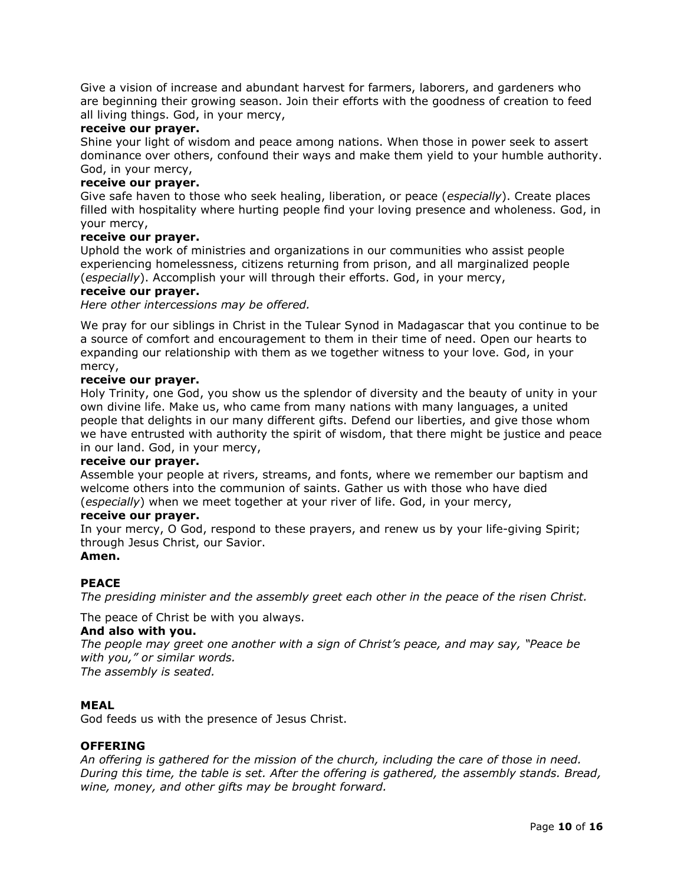Give a vision of increase and abundant harvest for farmers, laborers, and gardeners who are beginning their growing season. Join their efforts with the goodness of creation to feed all living things. God, in your mercy,

#### **receive our prayer.**

Shine your light of wisdom and peace among nations. When those in power seek to assert dominance over others, confound their ways and make them yield to your humble authority. God, in your mercy,

#### **receive our prayer.**

Give safe haven to those who seek healing, liberation, or peace (*especially*). Create places filled with hospitality where hurting people find your loving presence and wholeness. God, in your mercy,

#### **receive our prayer.**

Uphold the work of ministries and organizations in our communities who assist people experiencing homelessness, citizens returning from prison, and all marginalized people (*especially*). Accomplish your will through their efforts. God, in your mercy,

#### **receive our prayer.**

*Here other intercessions may be offered.*

We pray for our siblings in Christ in the Tulear Synod in Madagascar that you continue to be a source of comfort and encouragement to them in their time of need. Open our hearts to expanding our relationship with them as we together witness to your love. God, in your mercy,

#### **receive our prayer.**

Holy Trinity, one God, you show us the splendor of diversity and the beauty of unity in your own divine life. Make us, who came from many nations with many languages, a united people that delights in our many different gifts. Defend our liberties, and give those whom we have entrusted with authority the spirit of wisdom, that there might be justice and peace in our land. God, in your mercy,

#### **receive our prayer.**

Assemble your people at rivers, streams, and fonts, where we remember our baptism and welcome others into the communion of saints. Gather us with those who have died (*especially*) when we meet together at your river of life. God, in your mercy,

#### **receive our prayer.**

In your mercy, O God, respond to these prayers, and renew us by your life-giving Spirit; through Jesus Christ, our Savior. **Amen.**

#### **PEACE**

*The presiding minister and the assembly greet each other in the peace of the risen Christ.*

The peace of Christ be with you always.

#### **And also with you.**

*The people may greet one another with a sign of Christ's peace, and may say, "Peace be with you," or similar words.*

*The assembly is seated.*

#### **MEAL**

God feeds us with the presence of Jesus Christ.

#### **OFFERING**

*An offering is gathered for the mission of the church, including the care of those in need. During this time, the table is set. After the offering is gathered, the assembly stands. Bread, wine, money, and other gifts may be brought forward.*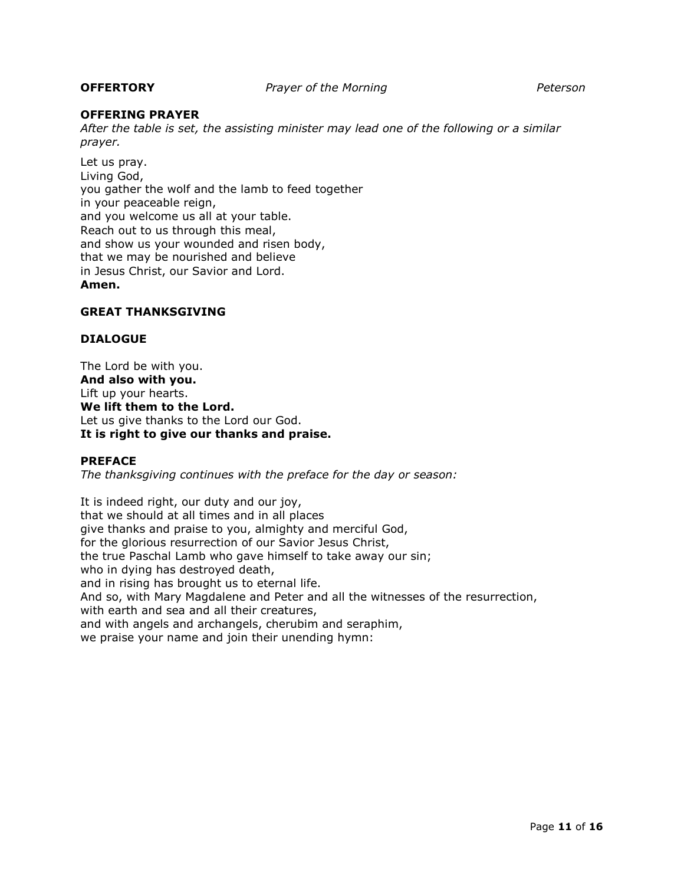#### **OFFERING PRAYER**

*After the table is set, the assisting minister may lead one of the following or a similar prayer.*

Let us pray. Living God, you gather the wolf and the lamb to feed together in your peaceable reign, and you welcome us all at your table. Reach out to us through this meal, and show us your wounded and risen body, that we may be nourished and believe in Jesus Christ, our Savior and Lord. **Amen.**

#### **GREAT THANKSGIVING**

#### **DIALOGUE**

The Lord be with you. **And also with you.** Lift up your hearts. **We lift them to the Lord.** Let us give thanks to the Lord our God. **It is right to give our thanks and praise.**

#### **PREFACE**

*The thanksgiving continues with the preface for the day or season:*

It is indeed right, our duty and our joy, that we should at all times and in all places give thanks and praise to you, almighty and merciful God, for the glorious resurrection of our Savior Jesus Christ, the true Paschal Lamb who gave himself to take away our sin; who in dying has destroyed death, and in rising has brought us to eternal life. And so, with Mary Magdalene and Peter and all the witnesses of the resurrection, with earth and sea and all their creatures, and with angels and archangels, cherubim and seraphim, we praise your name and join their unending hymn: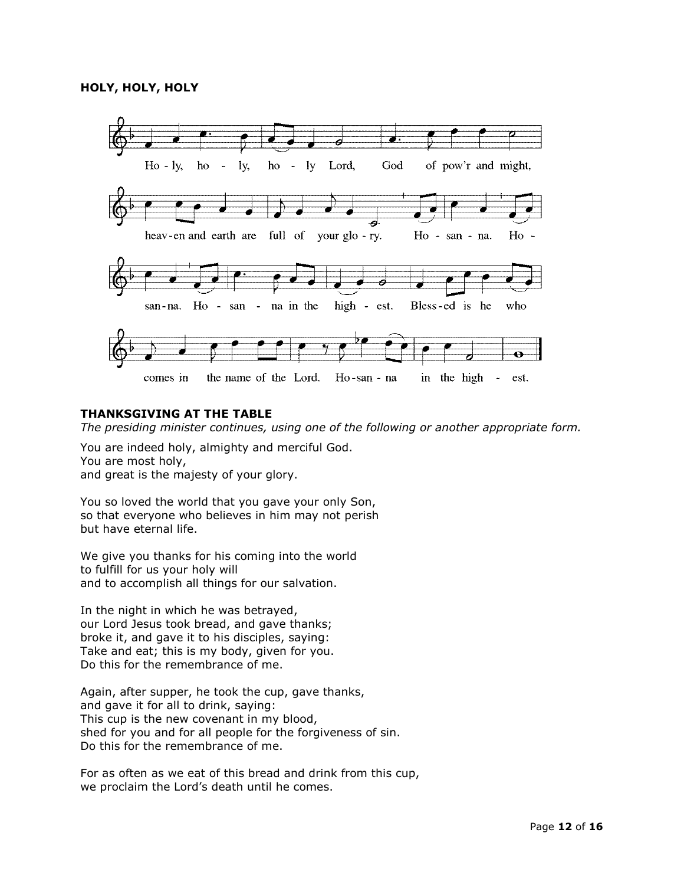

#### **THANKSGIVING AT THE TABLE**

*The presiding minister continues, using one of the following or another appropriate form.*

You are indeed holy, almighty and merciful God. You are most holy, and great is the majesty of your glory.

You so loved the world that you gave your only Son, so that everyone who believes in him may not perish but have eternal life.

We give you thanks for his coming into the world to fulfill for us your holy will and to accomplish all things for our salvation.

In the night in which he was betrayed, our Lord Jesus took bread, and gave thanks; broke it, and gave it to his disciples, saying: Take and eat; this is my body, given for you. Do this for the remembrance of me.

Again, after supper, he took the cup, gave thanks, and gave it for all to drink, saying: This cup is the new covenant in my blood, shed for you and for all people for the forgiveness of sin. Do this for the remembrance of me.

For as often as we eat of this bread and drink from this cup, we proclaim the Lord's death until he comes.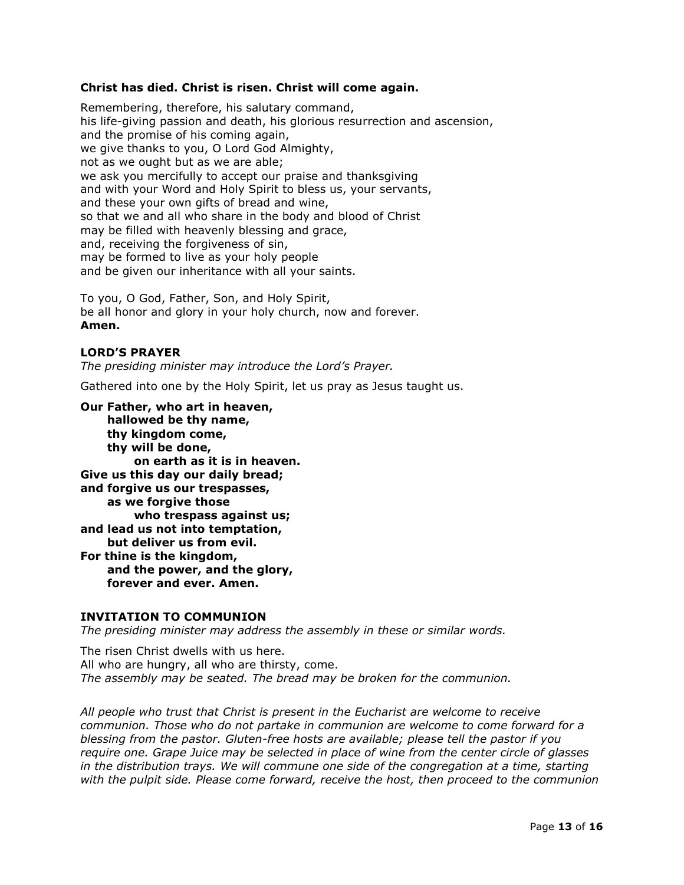#### **Christ has died. Christ is risen. Christ will come again.**

Remembering, therefore, his salutary command, his life-giving passion and death, his glorious resurrection and ascension, and the promise of his coming again, we give thanks to you, O Lord God Almighty, not as we ought but as we are able; we ask you mercifully to accept our praise and thanksgiving and with your Word and Holy Spirit to bless us, your servants, and these your own gifts of bread and wine, so that we and all who share in the body and blood of Christ may be filled with heavenly blessing and grace, and, receiving the forgiveness of sin, may be formed to live as your holy people and be given our inheritance with all your saints.

To you, O God, Father, Son, and Holy Spirit, be all honor and glory in your holy church, now and forever. **Amen.**

#### **LORD'S PRAYER**

*The presiding minister may introduce the Lord's Prayer.*

Gathered into one by the Holy Spirit, let us pray as Jesus taught us.

**Our Father, who art in heaven, hallowed be thy name, thy kingdom come, thy will be done, on earth as it is in heaven. Give us this day our daily bread; and forgive us our trespasses, as we forgive those who trespass against us; and lead us not into temptation, but deliver us from evil. For thine is the kingdom, and the power, and the glory, forever and ever. Amen.**

#### **INVITATION TO COMMUNION**

*The presiding minister may address the assembly in these or similar words.*

The risen Christ dwells with us here. All who are hungry, all who are thirsty, come. *The assembly may be seated. The bread may be broken for the communion.*

*All people who trust that Christ is present in the Eucharist are welcome to receive communion. Those who do not partake in communion are welcome to come forward for a blessing from the pastor. Gluten-free hosts are available; please tell the pastor if you require one. Grape Juice may be selected in place of wine from the center circle of glasses in the distribution trays. We will commune one side of the congregation at a time, starting with the pulpit side. Please come forward, receive the host, then proceed to the communion*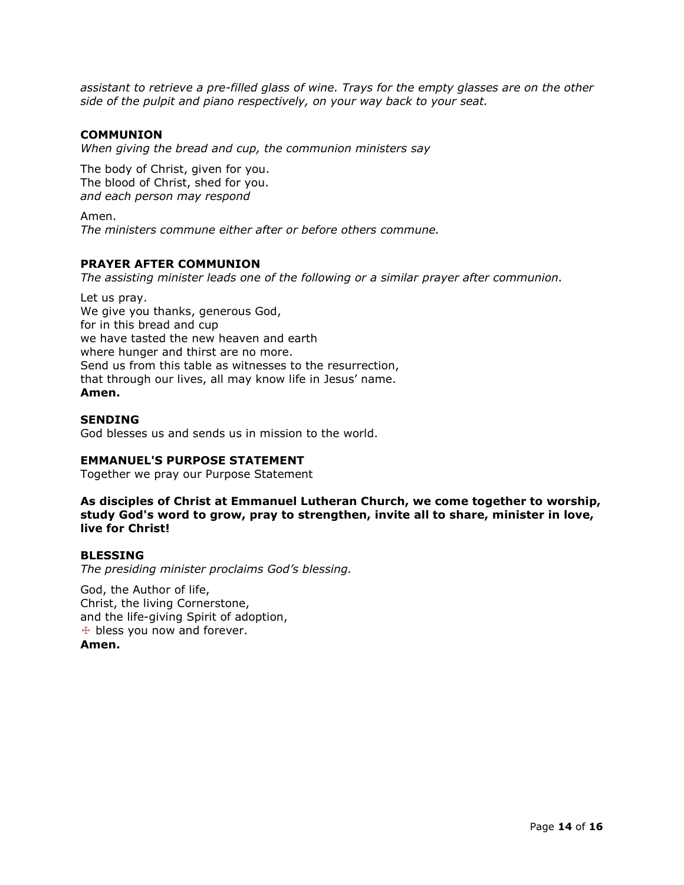*assistant to retrieve a pre-filled glass of wine. Trays for the empty glasses are on the other side of the pulpit and piano respectively, on your way back to your seat.*

#### **COMMUNION**

*When giving the bread and cup, the communion ministers say*

The body of Christ, given for you. The blood of Christ, shed for you. *and each person may respond*

Amen. *The ministers commune either after or before others commune.*

#### **PRAYER AFTER COMMUNION**

*The assisting minister leads one of the following or a similar prayer after communion.*

Let us pray. We give you thanks, generous God, for in this bread and cup we have tasted the new heaven and earth where hunger and thirst are no more. Send us from this table as witnesses to the resurrection, that through our lives, all may know life in Jesus' name. **Amen.**

#### **SENDING**

God blesses us and sends us in mission to the world.

#### **EMMANUEL'S PURPOSE STATEMENT**

Together we pray our Purpose Statement

**As disciples of Christ at Emmanuel Lutheran Church, we come together to worship, study God's word to grow, pray to strengthen, invite all to share, minister in love, live for Christ!**

#### **BLESSING**

*The presiding minister proclaims God's blessing.*

God, the Author of life, Christ, the living Cornerstone, and the life-giving Spirit of adoption,  $\pm$  bless you now and forever. **Amen.**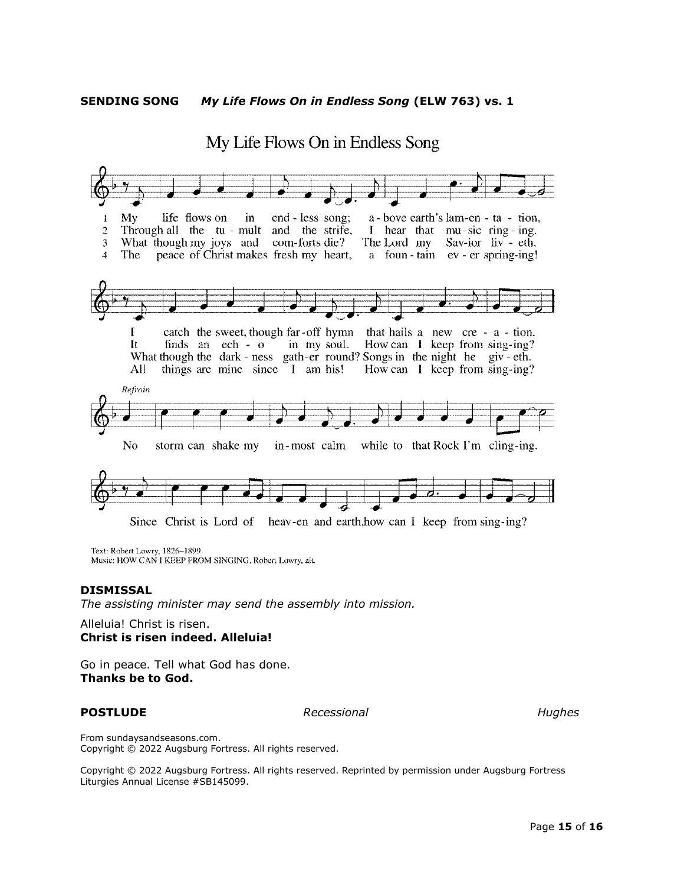**SENDING SONG** *My Life Flows On in Endless Song* **(ELW 763) vs. 1**



Text: Robert Lowry, 1826-1899

Music: HOW CAN I KEEP FROM SINGING, Robert Lowry, alt.

#### **DISMISSAL**

*The assisting minister may send the assembly into mission.*

Alleluia! Christ is risen. **Christ is risen indeed. Alleluia!**

Go in peace. Tell what God has done. **Thanks be to God.**

**POSTLUDE** *Recessional Recessional Hughes* 

From sundaysandseasons.com. Copyright © 2022 Augsburg Fortress. All rights reserved.

Copyright © 2022 Augsburg Fortress. All rights reserved. Reprinted by permission under Augsburg Fortress Liturgies Annual License #SB145099.